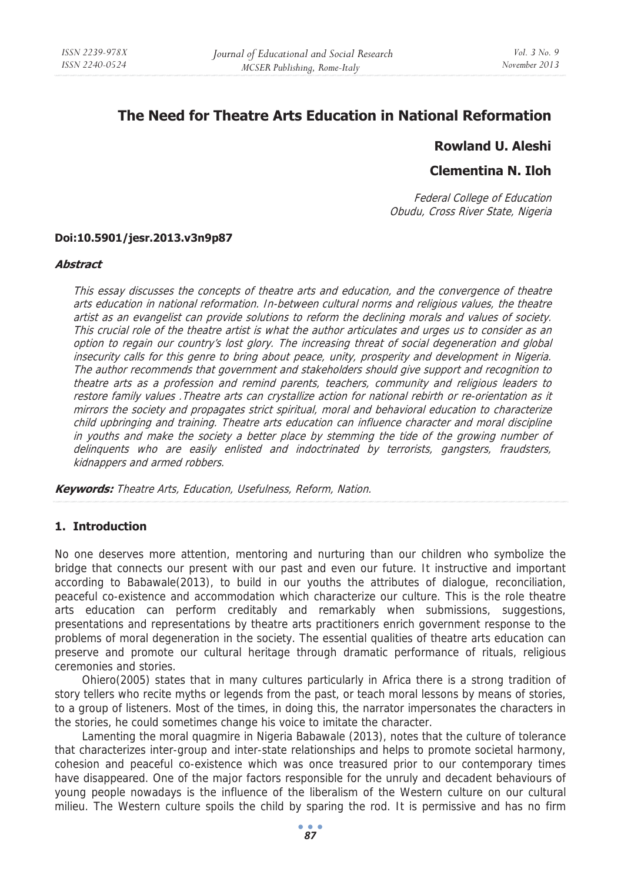# **The Need for Theatre Arts Education in National Reformation**

## **Rowland U. Aleshi**

## **Clementina N. Iloh**

Federal College of Education Obudu, Cross River State, Nigeria

#### **Doi:10.5901/jesr.2013.v3n9p87**

#### **Abstract**

This essay discusses the concepts of theatre arts and education, and the convergence of theatre arts education in national reformation. In-between cultural norms and religious values, the theatre artist as an evangelist can provide solutions to reform the declining morals and values of society. This crucial role of the theatre artist is what the author articulates and urges us to consider as an option to regain our country's lost glory. The increasing threat of social degeneration and global insecurity calls for this genre to bring about peace, unity, prosperity and development in Nigeria. The author recommends that government and stakeholders should give support and recognition to theatre arts as a profession and remind parents, teachers, community and religious leaders to restore family values .Theatre arts can crystallize action for national rebirth or re-orientation as it mirrors the society and propagates strict spiritual, moral and behavioral education to characterize child upbringing and training. Theatre arts education can influence character and moral discipline in youths and make the society a better place by stemming the tide of the growing number of delinquents who are easily enlisted and indoctrinated by terrorists, gangsters, fraudsters, kidnappers and armed robbers.

**Keywords:** Theatre Arts, Education, Usefulness, Reform, Nation.

### **1. Introduction**

No one deserves more attention, mentoring and nurturing than our children who symbolize the bridge that connects our present with our past and even our future. It instructive and important according to Babawale(2013), to build in our youths the attributes of dialogue, reconciliation, peaceful co-existence and accommodation which characterize our culture. This is the role theatre arts education can perform creditably and remarkably when submissions, suggestions, presentations and representations by theatre arts practitioners enrich government response to the problems of moral degeneration in the society. The essential qualities of theatre arts education can preserve and promote our cultural heritage through dramatic performance of rituals, religious ceremonies and stories.

Ohiero(2005) states that in many cultures particularly in Africa there is a strong tradition of story tellers who recite myths or legends from the past, or teach moral lessons by means of stories, to a group of listeners. Most of the times, in doing this, the narrator impersonates the characters in the stories, he could sometimes change his voice to imitate the character.

Lamenting the moral quagmire in Nigeria Babawale (2013), notes that the culture of tolerance that characterizes inter-group and inter-state relationships and helps to promote societal harmony, cohesion and peaceful co-existence which was once treasured prior to our contemporary times have disappeared. One of the major factors responsible for the unruly and decadent behaviours of young people nowadays is the influence of the liberalism of the Western culture on our cultural milieu. The Western culture spoils the child by sparing the rod. It is permissive and has no firm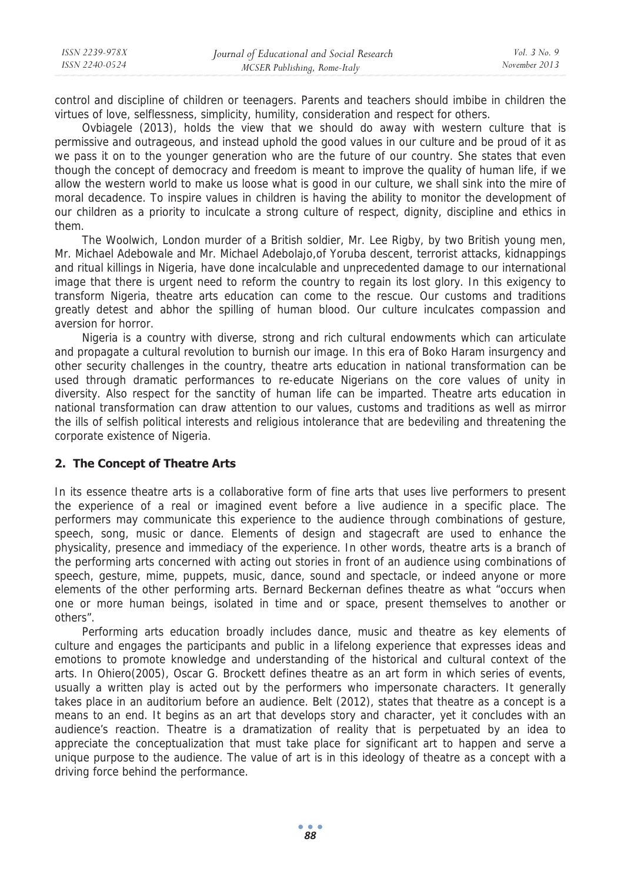control and discipline of children or teenagers. Parents and teachers should imbibe in children the virtues of love, selflessness, simplicity, humility, consideration and respect for others.

Ovbiagele (2013), holds the view that we should do away with western culture that is permissive and outrageous, and instead uphold the good values in our culture and be proud of it as we pass it on to the younger generation who are the future of our country. She states that even though the concept of democracy and freedom is meant to improve the quality of human life, if we allow the western world to make us loose what is good in our culture, we shall sink into the mire of moral decadence. To inspire values in children is having the ability to monitor the development of our children as a priority to inculcate a strong culture of respect, dignity, discipline and ethics in them.

The Woolwich, London murder of a British soldier, Mr. Lee Rigby, by two British young men, Mr. Michael Adebowale and Mr. Michael Adebolajo,of Yoruba descent, terrorist attacks, kidnappings and ritual killings in Nigeria, have done incalculable and unprecedented damage to our international image that there is urgent need to reform the country to regain its lost glory. In this exigency to transform Nigeria, theatre arts education can come to the rescue. Our customs and traditions greatly detest and abhor the spilling of human blood. Our culture inculcates compassion and aversion for horror.

Nigeria is a country with diverse, strong and rich cultural endowments which can articulate and propagate a cultural revolution to burnish our image. In this era of Boko Haram insurgency and other security challenges in the country, theatre arts education in national transformation can be used through dramatic performances to re-educate Nigerians on the core values of unity in diversity. Also respect for the sanctity of human life can be imparted. Theatre arts education in national transformation can draw attention to our values, customs and traditions as well as mirror the ills of selfish political interests and religious intolerance that are bedeviling and threatening the corporate existence of Nigeria.

#### **2. The Concept of Theatre Arts**

In its essence theatre arts is a collaborative form of fine arts that uses live performers to present the experience of a real or imagined event before a live audience in a specific place. The performers may communicate this experience to the audience through combinations of gesture, speech, song, music or dance. Elements of design and stagecraft are used to enhance the physicality, presence and immediacy of the experience. In other words, theatre arts is a branch of the performing arts concerned with acting out stories in front of an audience using combinations of speech, gesture, mime, puppets, music, dance, sound and spectacle, or indeed anyone or more elements of the other performing arts. Bernard Beckernan defines theatre as what "occurs when one or more human beings, isolated in time and or space, present themselves to another or others".

Performing arts education broadly includes dance, music and theatre as key elements of culture and engages the participants and public in a lifelong experience that expresses ideas and emotions to promote knowledge and understanding of the historical and cultural context of the arts. In Ohiero(2005), Oscar G. Brockett defines theatre as an art form in which series of events, usually a written play is acted out by the performers who impersonate characters. It generally takes place in an auditorium before an audience. Belt (2012), states that theatre as a concept is a means to an end. It begins as an art that develops story and character, yet it concludes with an audience's reaction. Theatre is a dramatization of reality that is perpetuated by an idea to appreciate the conceptualization that must take place for significant art to happen and serve a unique purpose to the audience. The value of art is in this ideology of theatre as a concept with a driving force behind the performance.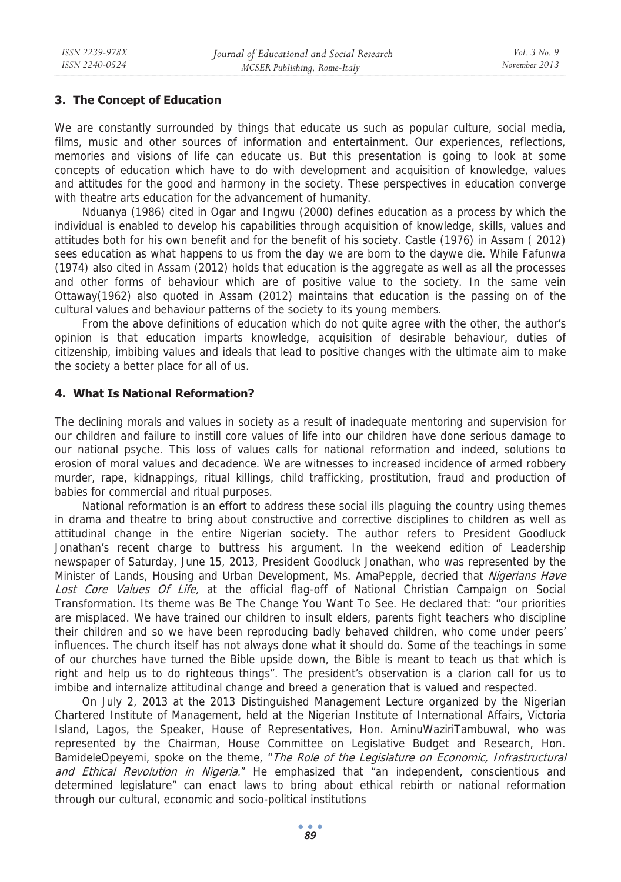### **3. The Concept of Education**

We are constantly surrounded by things that educate us such as popular culture, social media, films, music and other sources of information and entertainment. Our experiences, reflections, memories and visions of life can educate us. But this presentation is going to look at some concepts of education which have to do with development and acquisition of knowledge, values and attitudes for the good and harmony in the society. These perspectives in education converge with theatre arts education for the advancement of humanity.

Nduanya (1986) cited in Ogar and Ingwu (2000) defines education as a process by which the individual is enabled to develop his capabilities through acquisition of knowledge, skills, values and attitudes both for his own benefit and for the benefit of his society. Castle (1976) in Assam ( 2012) sees education as what happens to us from the day we are born to the daywe die. While Fafunwa (1974) also cited in Assam (2012) holds that education is the aggregate as well as all the processes and other forms of behaviour which are of positive value to the society. In the same vein Ottaway(1962) also quoted in Assam (2012) maintains that education is the passing on of the cultural values and behaviour patterns of the society to its young members.

From the above definitions of education which do not quite agree with the other, the author's opinion is that education imparts knowledge, acquisition of desirable behaviour, duties of citizenship, imbibing values and ideals that lead to positive changes with the ultimate aim to make the society a better place for all of us.

### **4. What Is National Reformation?**

The declining morals and values in society as a result of inadequate mentoring and supervision for our children and failure to instill core values of life into our children have done serious damage to our national psyche. This loss of values calls for national reformation and indeed, solutions to erosion of moral values and decadence. We are witnesses to increased incidence of armed robbery murder, rape, kidnappings, ritual killings, child trafficking, prostitution, fraud and production of babies for commercial and ritual purposes.

National reformation is an effort to address these social ills plaguing the country using themes in drama and theatre to bring about constructive and corrective disciplines to children as well as attitudinal change in the entire Nigerian society. The author refers to President Goodluck Jonathan's recent charge to buttress his argument. In the weekend edition of Leadership newspaper of Saturday, June 15, 2013, President Goodluck Jonathan, who was represented by the Minister of Lands, Housing and Urban Development, Ms. AmaPepple, decried that Nigerians Have Lost Core Values Of Life, at the official flag-off of National Christian Campaign on Social Transformation. Its theme was Be The Change You Want To See. He declared that: "our priorities are misplaced. We have trained our children to insult elders, parents fight teachers who discipline their children and so we have been reproducing badly behaved children, who come under peers' influences. The church itself has not always done what it should do. Some of the teachings in some of our churches have turned the Bible upside down, the Bible is meant to teach us that which is right and help us to do righteous things". The president's observation is a clarion call for us to imbibe and internalize attitudinal change and breed a generation that is valued and respected.

On July 2, 2013 at the 2013 Distinguished Management Lecture organized by the Nigerian Chartered Institute of Management, held at the Nigerian Institute of International Affairs, Victoria Island, Lagos, the Speaker, House of Representatives, Hon. AminuWaziriTambuwal, who was represented by the Chairman, House Committee on Legislative Budget and Research, Hon. BamideleOpeyemi, spoke on the theme, "The Role of the Legislature on Economic, Infrastructural and Ethical Revolution in Nigeria." He emphasized that "an independent, conscientious and determined legislature" can enact laws to bring about ethical rebirth or national reformation through our cultural, economic and socio-political institutions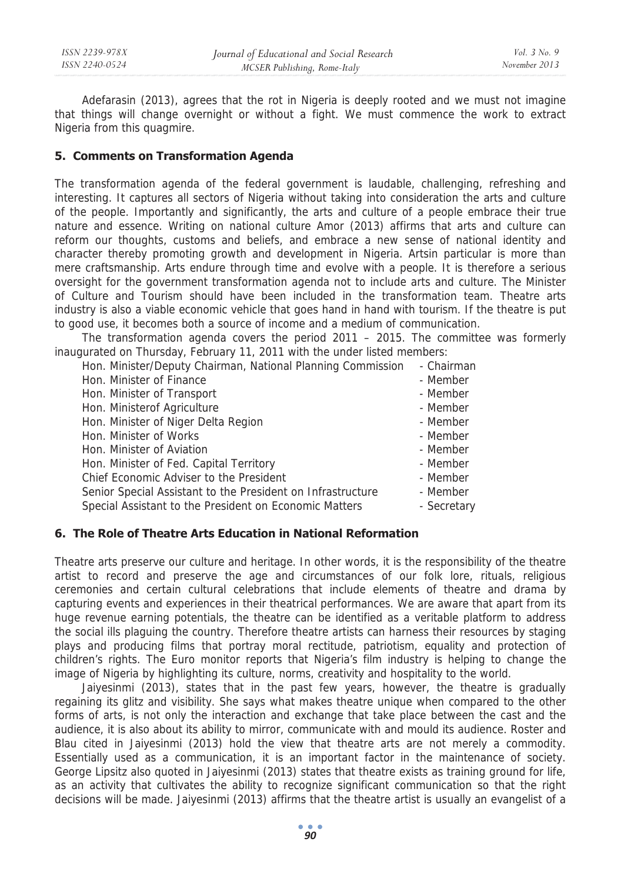Adefarasin (2013), agrees that the rot in Nigeria is deeply rooted and we must not imagine that things will change overnight or without a fight. We must commence the work to extract Nigeria from this quagmire.

#### **5. Comments on Transformation Agenda**

The transformation agenda of the federal government is laudable, challenging, refreshing and interesting. It captures all sectors of Nigeria without taking into consideration the arts and culture of the people. Importantly and significantly, the arts and culture of a people embrace their true nature and essence. Writing on national culture Amor (2013) affirms that arts and culture can reform our thoughts, customs and beliefs, and embrace a new sense of national identity and character thereby promoting growth and development in Nigeria. Artsin particular is more than mere craftsmanship. Arts endure through time and evolve with a people. It is therefore a serious oversight for the government transformation agenda not to include arts and culture. The Minister of Culture and Tourism should have been included in the transformation team. Theatre arts industry is also a viable economic vehicle that goes hand in hand with tourism. If the theatre is put to good use, it becomes both a source of income and a medium of communication.

The transformation agenda covers the period 2011 – 2015. The committee was formerly inaugurated on Thursday, February 11, 2011 with the under listed members:

| Hon. Minister/Deputy Chairman, National Planning Commission | - Chairman  |
|-------------------------------------------------------------|-------------|
| Hon. Minister of Finance                                    | - Member    |
| Hon. Minister of Transport                                  | - Member    |
| Hon. Ministerof Agriculture                                 | - Member    |
| Hon. Minister of Niger Delta Region                         | - Member    |
| Hon. Minister of Works                                      | - Member    |
| Hon. Minister of Aviation                                   | - Member    |
| Hon. Minister of Fed. Capital Territory                     | - Member    |
| Chief Economic Adviser to the President                     | - Member    |
| Senior Special Assistant to the President on Infrastructure | - Member    |
| Special Assistant to the President on Economic Matters      | - Secretary |

#### **6. The Role of Theatre Arts Education in National Reformation**

Theatre arts preserve our culture and heritage. In other words, it is the responsibility of the theatre artist to record and preserve the age and circumstances of our folk lore, rituals, religious ceremonies and certain cultural celebrations that include elements of theatre and drama by capturing events and experiences in their theatrical performances. We are aware that apart from its huge revenue earning potentials, the theatre can be identified as a veritable platform to address the social ills plaguing the country. Therefore theatre artists can harness their resources by staging plays and producing films that portray moral rectitude, patriotism, equality and protection of children's rights. The Euro monitor reports that Nigeria's film industry is helping to change the image of Nigeria by highlighting its culture, norms, creativity and hospitality to the world.

Jaiyesinmi (2013), states that in the past few years, however, the theatre is gradually regaining its glitz and visibility. She says what makes theatre unique when compared to the other forms of arts, is not only the interaction and exchange that take place between the cast and the audience, it is also about its ability to mirror, communicate with and mould its audience. Roster and Blau cited in Jaiyesinmi (2013) hold the view that theatre arts are not merely a commodity. Essentially used as a communication, it is an important factor in the maintenance of society. George Lipsitz also quoted in Jaiyesinmi (2013) states that theatre exists as training ground for life, as an activity that cultivates the ability to recognize significant communication so that the right decisions will be made. Jaiyesinmi (2013) affirms that the theatre artist is usually an evangelist of a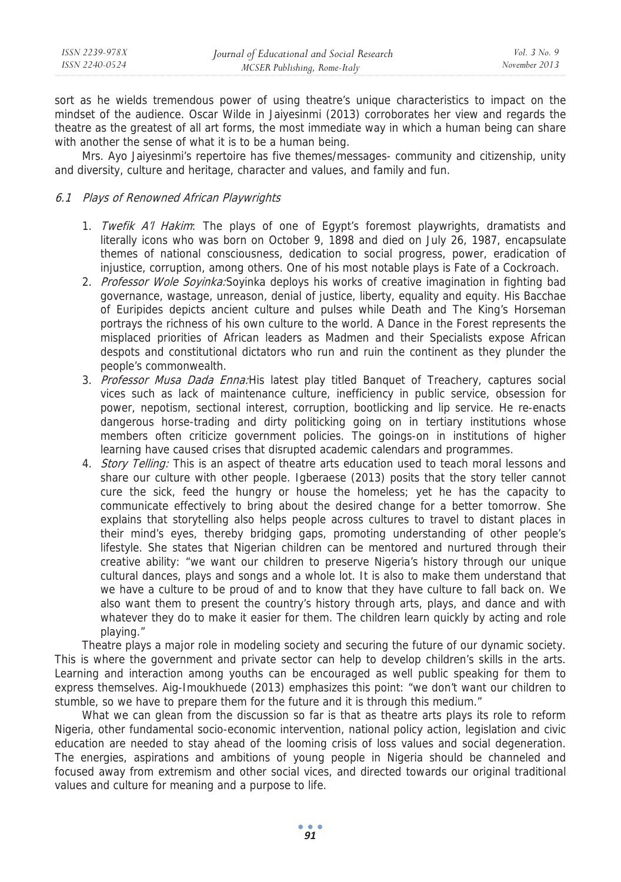| ISSN 2239-978X | Journal of Educational and Social Research | <i>Vol.</i> $3$ No. 9 |
|----------------|--------------------------------------------|-----------------------|
| ISSN 2240-0524 | MCSER Publishing, Rome-Italy               | November 2013         |

sort as he wields tremendous power of using theatre's unique characteristics to impact on the mindset of the audience. Oscar Wilde in Jaiyesinmi (2013) corroborates her view and regards the theatre as the greatest of all art forms, the most immediate way in which a human being can share with another the sense of what it is to be a human being.

Mrs. Ayo Jaiyesinmi's repertoire has five themes/messages- community and citizenship, unity and diversity, culture and heritage, character and values, and family and fun.

#### 6.1 Plays of Renowned African Playwrights

- 1. Twefik A'l Hakim: The plays of one of Egypt's foremost playwrights, dramatists and literally icons who was born on October 9, 1898 and died on July 26, 1987, encapsulate themes of national consciousness, dedication to social progress, power, eradication of injustice, corruption, among others. One of his most notable plays is Fate of a Cockroach.
- 2. Professor Wole Soyinka: Soyinka deploys his works of creative imagination in fighting bad governance, wastage, unreason, denial of justice, liberty, equality and equity. His Bacchae of Euripides depicts ancient culture and pulses while Death and The King's Horseman portrays the richness of his own culture to the world. A Dance in the Forest represents the misplaced priorities of African leaders as Madmen and their Specialists expose African despots and constitutional dictators who run and ruin the continent as they plunder the people's commonwealth.
- 3. Professor Musa Dada Enna: His latest play titled Banquet of Treachery, captures social vices such as lack of maintenance culture, inefficiency in public service, obsession for power, nepotism, sectional interest, corruption, bootlicking and lip service. He re-enacts dangerous horse-trading and dirty politicking going on in tertiary institutions whose members often criticize government policies. The goings-on in institutions of higher learning have caused crises that disrupted academic calendars and programmes.
- 4. *Story Telling:* This is an aspect of theatre arts education used to teach moral lessons and share our culture with other people. Igberaese (2013) posits that the story teller cannot cure the sick, feed the hungry or house the homeless; yet he has the capacity to communicate effectively to bring about the desired change for a better tomorrow. She explains that storytelling also helps people across cultures to travel to distant places in their mind's eyes, thereby bridging gaps, promoting understanding of other people's lifestyle. She states that Nigerian children can be mentored and nurtured through their creative ability: "we want our children to preserve Nigeria's history through our unique cultural dances, plays and songs and a whole lot. It is also to make them understand that we have a culture to be proud of and to know that they have culture to fall back on. We also want them to present the country's history through arts, plays, and dance and with whatever they do to make it easier for them. The children learn quickly by acting and role playing."

Theatre plays a major role in modeling society and securing the future of our dynamic society. This is where the government and private sector can help to develop children's skills in the arts. Learning and interaction among youths can be encouraged as well public speaking for them to express themselves. Aig-Imoukhuede (2013) emphasizes this point: "we don't want our children to stumble, so we have to prepare them for the future and it is through this medium."

What we can glean from the discussion so far is that as theatre arts plays its role to reform Nigeria, other fundamental socio-economic intervention, national policy action, legislation and civic education are needed to stay ahead of the looming crisis of loss values and social degeneration. The energies, aspirations and ambitions of young people in Nigeria should be channeled and focused away from extremism and other social vices, and directed towards our original traditional values and culture for meaning and a purpose to life.